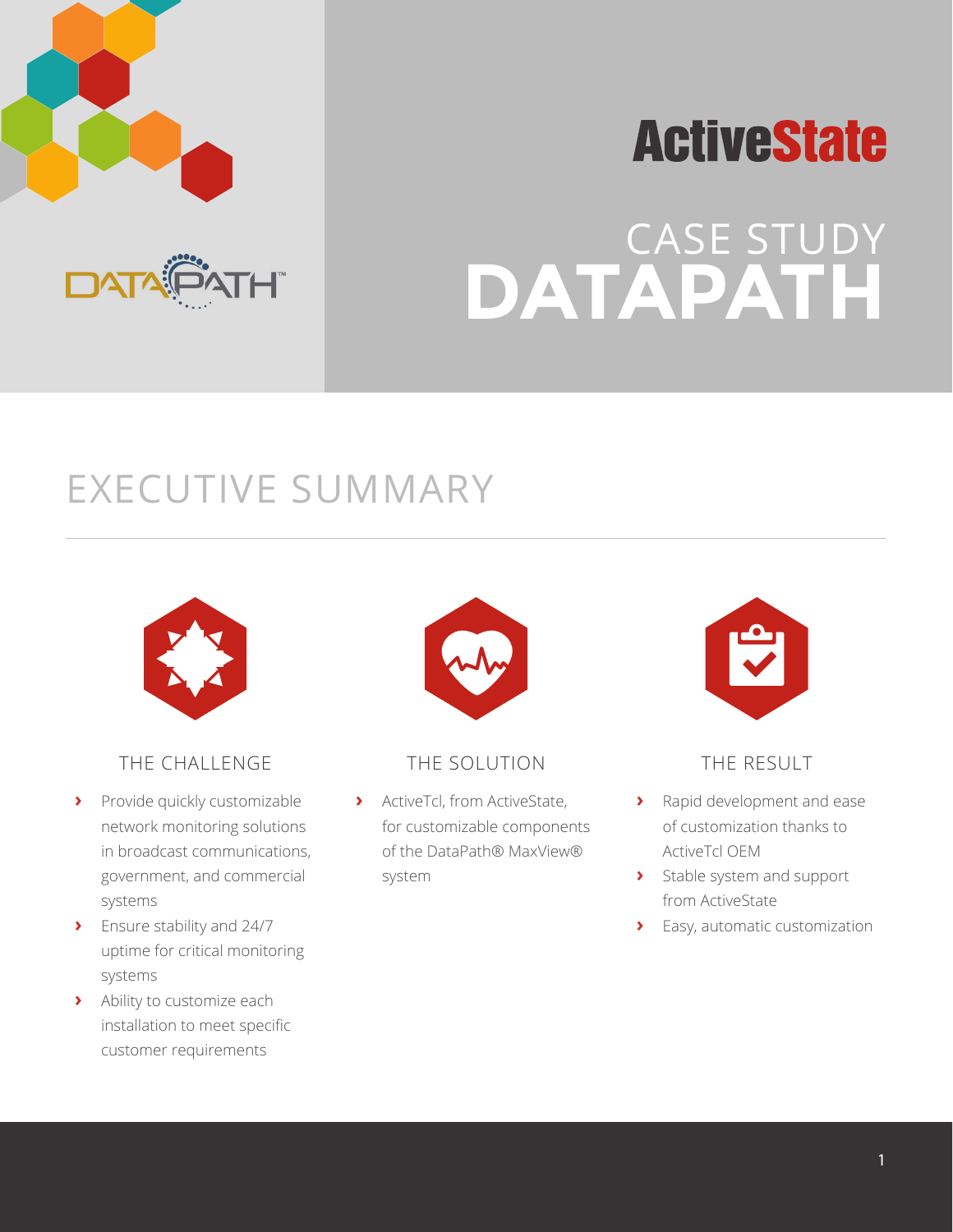





### EXECUTIVE SUMMARY



### THE CHALLENGE

- **›** Provide quickly customizable network monitoring solutions in broadcast communications, government, and commercial systems
- **›** Ensure stability and 24/7 uptime for critical monitoring systems
- **›** Ability to customize each installation to meet specific customer requirements



### THE SOLUTION

**›** ActiveTcl, from ActiveState, for customizable components of the DataPath® MaxView® system



### THE RESULT

- **›** Rapid development and ease of customization thanks to ActiveTcl OEM
- **›** Stable system and support from ActiveState
- **›** Easy, automatic customization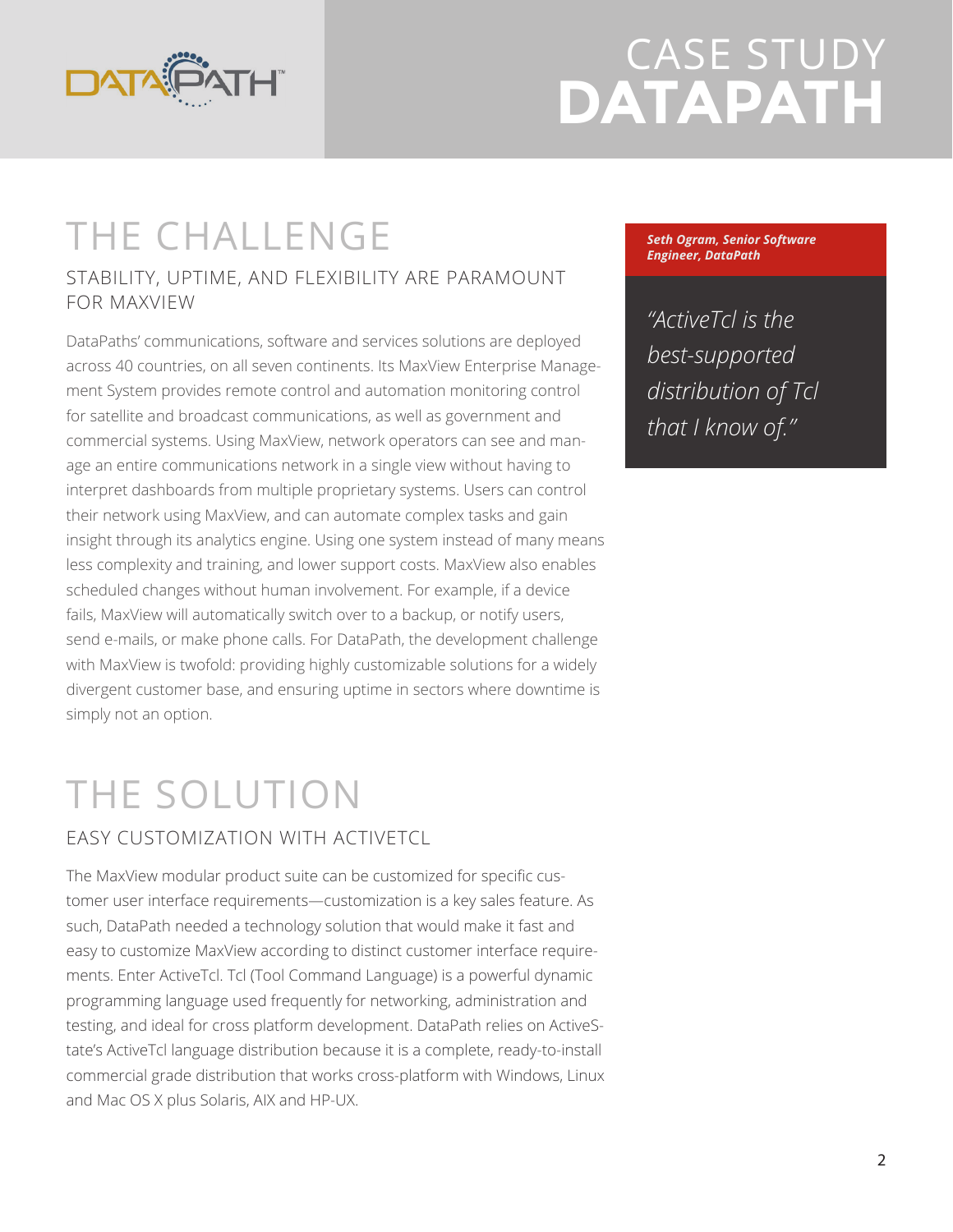

### THE CHALLENGE

#### STABILITY, UPTIME, AND FLEXIBILITY ARE PARAMOUNT FOR MAXVIEW

DataPaths' communications, software and services solutions are deployed across 40 countries, on all seven continents. Its MaxView Enterprise Management System provides remote control and automation monitoring control for satellite and broadcast communications, as well as government and commercial systems. Using MaxView, network operators can see and manage an entire communications network in a single view without having to interpret dashboards from multiple proprietary systems. Users can control their network using MaxView, and can automate complex tasks and gain insight through its analytics engine. Using one system instead of many means less complexity and training, and lower support costs. MaxView also enables scheduled changes without human involvement. For example, if a device fails, MaxView will automatically switch over to a backup, or notify users, send e-mails, or make phone calls. For DataPath, the development challenge with MaxView is twofold: providing highly customizable solutions for a widely divergent customer base, and ensuring uptime in sectors where downtime is simply not an option.

# THE SOLUTION

### EASY CUSTOMIZATION WITH ACTIVETCL

The MaxView modular product suite can be customized for specific customer user interface requirements—customization is a key sales feature. As such, DataPath needed a technology solution that would make it fast and easy to customize MaxView according to distinct customer interface requirements. Enter ActiveTcl. Tcl (Tool Command Language) is a powerful dynamic programming language used frequently for networking, administration and testing, and ideal for cross platform development. DataPath relies on ActiveState's ActiveTcl language distribution because it is a complete, ready-to-install commercial grade distribution that works cross-platform with Windows, Linux and Mac OS X plus Solaris, AIX and HP-UX.

*Seth Ogram, Senior Software Engineer, DataPath*

*"ActiveTcl is the best-supported distribution of Tcl that I know of."*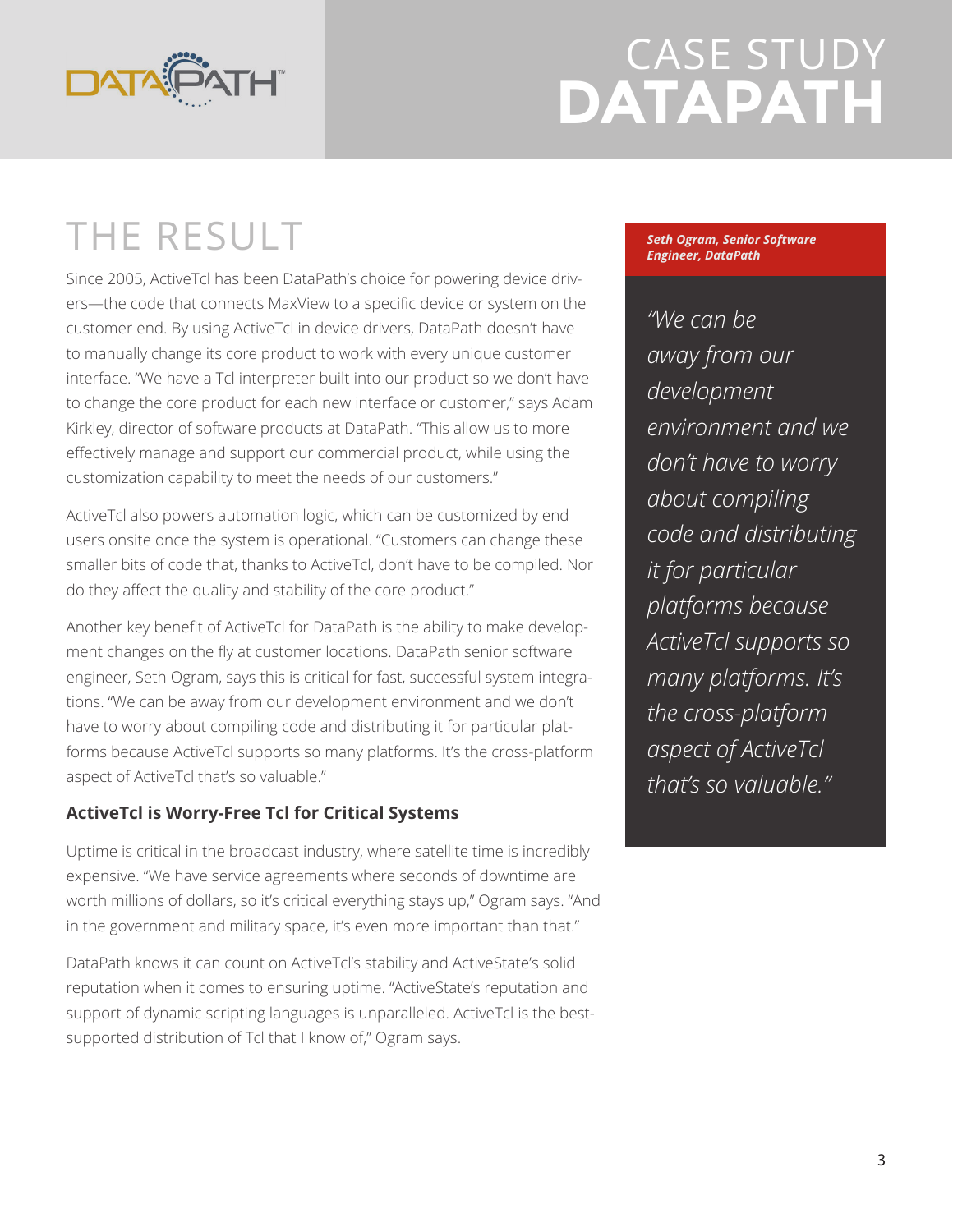

### THE RESULT

Since 2005, ActiveTcl has been DataPath's choice for powering device drivers—the code that connects MaxView to a specific device or system on the customer end. By using ActiveTcl in device drivers, DataPath doesn't have to manually change its core product to work with every unique customer interface. "We have a Tcl interpreter built into our product so we don't have to change the core product for each new interface or customer," says Adam Kirkley, director of software products at DataPath. "This allow us to more effectively manage and support our commercial product, while using the customization capability to meet the needs of our customers."

ActiveTcl also powers automation logic, which can be customized by end users onsite once the system is operational. "Customers can change these smaller bits of code that, thanks to ActiveTcl, don't have to be compiled. Nor do they affect the quality and stability of the core product."

Another key benefit of ActiveTcl for DataPath is the ability to make development changes on the fly at customer locations. DataPath senior software engineer, Seth Ogram, says this is critical for fast, successful system integrations. "We can be away from our development environment and we don't have to worry about compiling code and distributing it for particular platforms because ActiveTcl supports so many platforms. It's the cross-platform aspect of ActiveTcl that's so valuable."

### **ActiveTcl is Worry-Free Tcl for Critical Systems**

Uptime is critical in the broadcast industry, where satellite time is incredibly expensive. "We have service agreements where seconds of downtime are worth millions of dollars, so it's critical everything stays up," Ogram says. "And in the government and military space, it's even more important than that."

DataPath knows it can count on ActiveTcl's stability and ActiveState's solid reputation when it comes to ensuring uptime. "ActiveState's reputation and support of dynamic scripting languages is unparalleled. ActiveTcl is the bestsupported distribution of Tcl that I know of," Ogram says.

#### *Seth Ogram, Senior Software Engineer, DataPath*

*"We can be away from our development environment and we don't have to worry about compiling code and distributing it for particular platforms because ActiveTcl supports so many platforms. It's the cross-platform aspect of ActiveTcl that's so valuable."*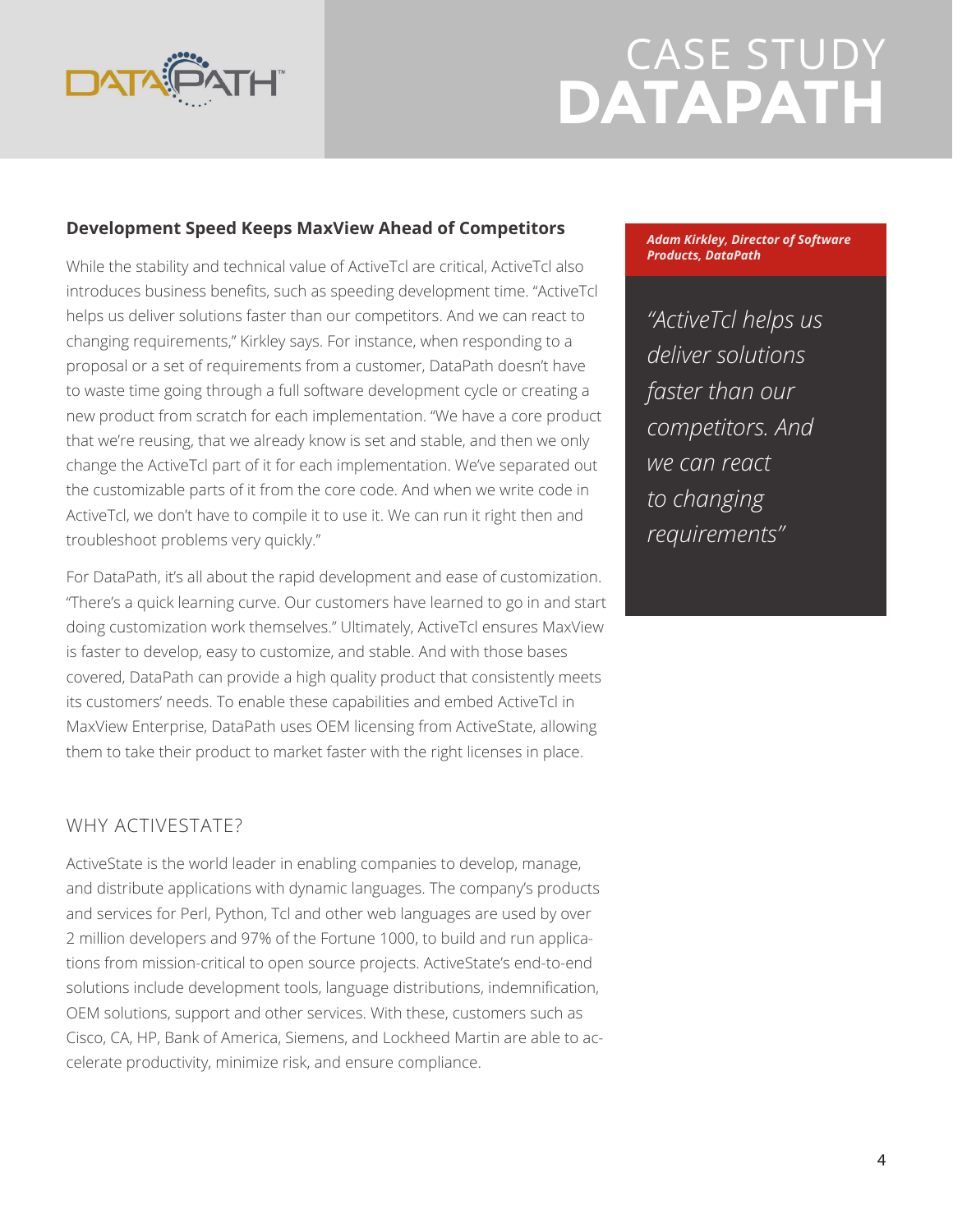

#### **Development Speed Keeps MaxView Ahead of Competitors**

While the stability and technical value of ActiveTcl are critical, ActiveTcl also introduces business benefits, such as speeding development time. "ActiveTcl helps us deliver solutions faster than our competitors. And we can react to changing requirements," Kirkley says. For instance, when responding to a proposal or a set of requirements from a customer, DataPath doesn't have to waste time going through a full software development cycle or creating a new product from scratch for each implementation. "We have a core product that we're reusing, that we already know is set and stable, and then we only change the ActiveTcl part of it for each implementation. We've separated out the customizable parts of it from the core code. And when we write code in ActiveTcl, we don't have to compile it to use it. We can run it right then and troubleshoot problems very quickly."

For DataPath, it's all about the rapid development and ease of customization. "There's a quick learning curve. Our customers have learned to go in and start doing customization work themselves." Ultimately, ActiveTcl ensures MaxView is faster to develop, easy to customize, and stable. And with those bases covered, DataPath can provide a high quality product that consistently meets its customers' needs. To enable these capabilities and embed ActiveTcl in MaxView Enterprise, DataPath uses OEM licensing from ActiveState, allowing them to take their product to market faster with the right licenses in place.

### WHY ACTIVESTATE?

ActiveState is the world leader in enabling companies to develop, manage, and distribute applications with dynamic languages. The company's products and services for Perl, Python, Tcl and other web languages are used by over 2 million developers and 97% of the Fortune 1000, to build and run applications from mission-critical to open source projects. ActiveState's end-to-end solutions include development tools, language distributions, indemnification, OEM solutions, support and other services. With these, customers such as Cisco, CA, HP, Bank of America, Siemens, and Lockheed Martin are able to accelerate productivity, minimize risk, and ensure compliance.

*Adam Kirkley, Director of Software Products, DataPath*

*"ActiveTcl helps us deliver solutions faster than our competitors. And we can react to changing requirements"*